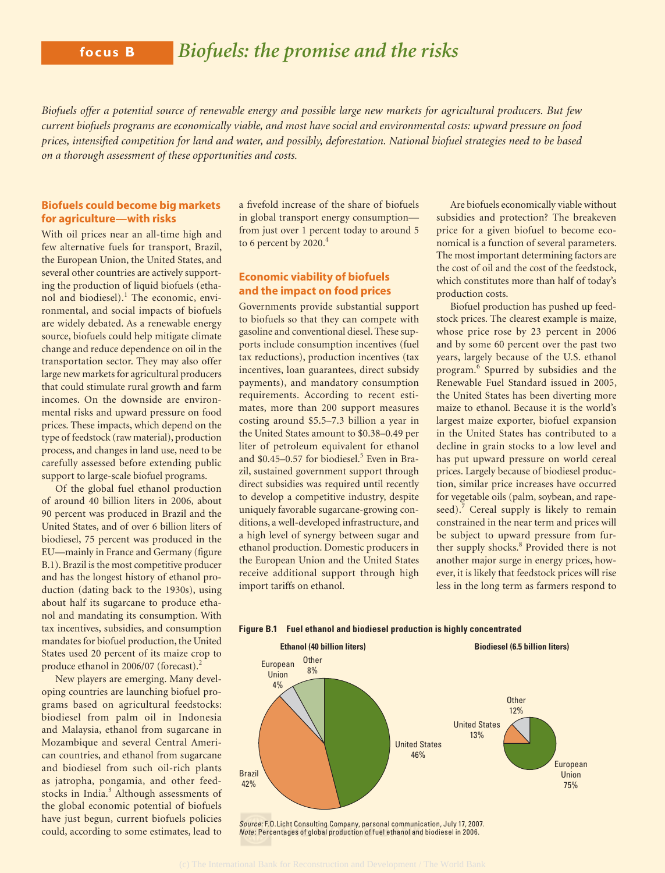*Biofuels offer a potential source of renewable energy and possible large new markets for agricultural producers. But few current biofuels programs are economically viable, and most have social and environmental costs: upward pressure on food prices, intensified competition for land and water, and possibly, deforestation. National biofuel strategies need to be based on a thorough assessment of these opportunities and costs.*

# **Biofuels could become big markets for agriculture—with risks**

With oil prices near an all-time high and few alternative fuels for transport, Brazil, the European Union, the United States, and several other countries are actively supporting the production of liquid biofuels (ethanol and biodiesel).<sup>1</sup> The economic, environmental, and social impacts of biofuels are widely debated. As a renewable energy source, biofuels could help mitigate climate change and reduce dependence on oil in the transportation sector. They may also offer large new markets for agricultural producers that could stimulate rural growth and farm incomes. On the downside are environmental risks and upward pressure on food prices. These impacts, which depend on the type of feedstock (raw material), production process, and changes in land use, need to be carefully assessed before extending public support to large-scale biofuel programs.

Of the global fuel ethanol production of around 40 billion liters in 2006, about 90 percent was produced in Brazil and the United States, and of over 6 billion liters of biodiesel, 75 percent was produced in the EU—mainly in France and Germany (figure B.1). Brazil is the most competitive producer and has the longest history of ethanol production (dating back to the 1930s), using about half its sugarcane to produce ethanol and mandating its consumption. With tax incentives, subsidies, and consumption mandates for biofuel production, the United States used 20 percent of its maize crop to produce ethanol in 2006/07 (forecast).<sup>2</sup>

New players are emerging. Many developing countries are launching biofuel programs based on agricultural feedstocks: biodiesel from palm oil in Indonesia and Malaysia, ethanol from sugarcane in Mozambique and several Central American countries, and ethanol from sugarcane and biodiesel from such oil-rich plants as jatropha, pongamia, and other feedstocks in India.<sup>3</sup> Although assessments of the global economic potential of biofuels have just begun, current biofuels policies could, according to some estimates, lead to

a fivefold increase of the share of biofuels in global transport energy consumption from just over 1 percent today to around 5 to 6 percent by 2020.<sup>4</sup>

## **Economic viability of biofuels and the impact on food prices**

Governments provide substantial support to biofuels so that they can compete with gasoline and conventional diesel. These supports include consumption incentives (fuel tax reductions), production incentives (tax incentives, loan guarantees, direct subsidy payments), and mandatory consumption requirements. According to recent estimates, more than 200 support measures costing around \$5.5–7.3 billion a year in the United States amount to \$0.38–0.49 per liter of petroleum equivalent for ethanol and \$0.45-0.57 for biodiesel.<sup>5</sup> Even in Brazil, sustained government support through direct subsidies was required until recently to develop a competitive industry, despite uniquely favorable sugarcane-growing conditions, a well-developed infrastructure, and a high level of synergy between sugar and ethanol production. Domestic producers in the European Union and the United States receive additional support through high import tariffs on ethanol.

Are biofuels economically viable without subsidies and protection? The breakeven price for a given biofuel to become economical is a function of several parameters. The most important determining factors are the cost of oil and the cost of the feedstock, which constitutes more than half of today's production costs.

Biofuel production has pushed up feedstock prices. The clearest example is maize, whose price rose by 23 percent in 2006 and by some 60 percent over the past two years, largely because of the U.S. ethanol program.<sup>6</sup> Spurred by subsidies and the Renewable Fuel Standard issued in 2005, the United States has been diverting more maize to ethanol. Because it is the world's largest maize exporter, biofuel expansion in the United States has contributed to a decline in grain stocks to a low level and has put upward pressure on world cereal prices. Largely because of biodiesel production, similar price increases have occurred for vegetable oils (palm, soybean, and rapeseed).<sup>7</sup> Cereal supply is likely to remain constrained in the near term and prices will be subject to upward pressure from further supply shocks.<sup>8</sup> Provided there is not another major surge in energy prices, however, it is likely that feedstock prices will rise less in the long term as farmers respond to



**Figure B.1 Fuel ethanol and biodiesel production is highly concentrated**

Note: Percentages of global production of fuel ethanol and biodiesel in 2006.